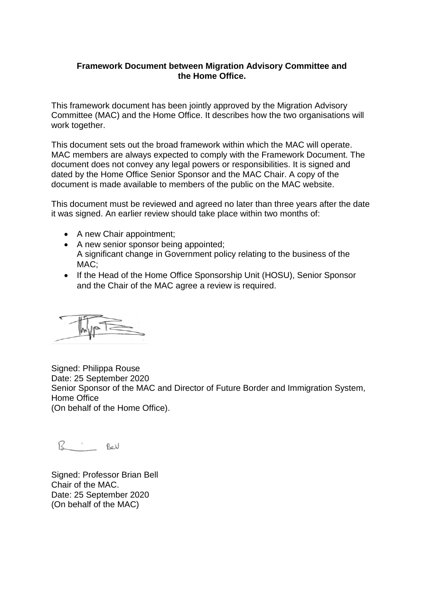## **Framework Document between Migration Advisory Committee and the Home Office.**

This framework document has been jointly approved by the Migration Advisory Committee (MAC) and the Home Office. It describes how the two organisations will work together.

This document sets out the broad framework within which the MAC will operate. MAC members are always expected to comply with the Framework Document. The document does not convey any legal powers or responsibilities. It is signed and dated by the Home Office Senior Sponsor and the MAC Chair. A copy of the document is made available to members of the public on the MAC website.

This document must be reviewed and agreed no later than three years after the date it was signed. An earlier review should take place within two months of:

- A new Chair appointment;
- A new senior sponsor being appointed; A significant change in Government policy relating to the business of the MAC;
- If the Head of the Home Office Sponsorship Unit (HOSU), Senior Sponsor and the Chair of the MAC agree a review is required.

Signed: Philippa Rouse Date: 25 September 2020 Senior Sponsor of the MAC and Director of Future Border and Immigration System, Home Office (On behalf of the Home Office).

B Sel

Signed: Professor Brian Bell Chair of the MAC. Date: 25 September 2020 (On behalf of the MAC)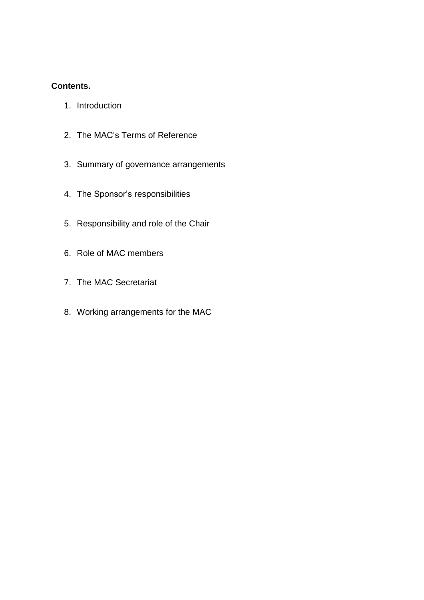## **Contents.**

- 1. [Introduction](https://www.gov.uk/government/publications/home-office-and-migration-advisory-committee-framework-document-october-2018/migration-advisory-committee-framework-document#introduction)
- 2. The MAC's Terms of [Reference](https://www.gov.uk/government/publications/home-office-and-migration-advisory-committee-framework-document-october-2018/migration-advisory-committee-framework-document#the-macs-terms-of-reference)
- 3. Summary of governance [arrangements](https://www.gov.uk/government/publications/home-office-and-migration-advisory-committee-framework-document-october-2018/migration-advisory-committee-framework-document#summary-of-governance-arrangements)
- 4. The Sponsor's [responsibilities](https://www.gov.uk/government/publications/home-office-and-migration-advisory-committee-framework-document-october-2018/migration-advisory-committee-framework-document#the-sponsors-responsibilities)
- 5. [Responsibility](https://www.gov.uk/government/publications/home-office-and-migration-advisory-committee-framework-document-october-2018/migration-advisory-committee-framework-document#responsibility-and-role-of-the-chair) and role of the Chair
- 6. Role of MAC [members](https://www.gov.uk/government/publications/home-office-and-migration-advisory-committee-framework-document-october-2018/migration-advisory-committee-framework-document#role-of-mac-members)
- 7. The MAC [Secretariat](https://www.gov.uk/government/publications/home-office-and-migration-advisory-committee-framework-document-october-2018/migration-advisory-committee-framework-document#the-mac-secretariat)
- 8. Working [arrangements](https://www.gov.uk/government/publications/home-office-and-migration-advisory-committee-framework-document-october-2018/migration-advisory-committee-framework-document#working-arrangements-for-the-mac) for the MAC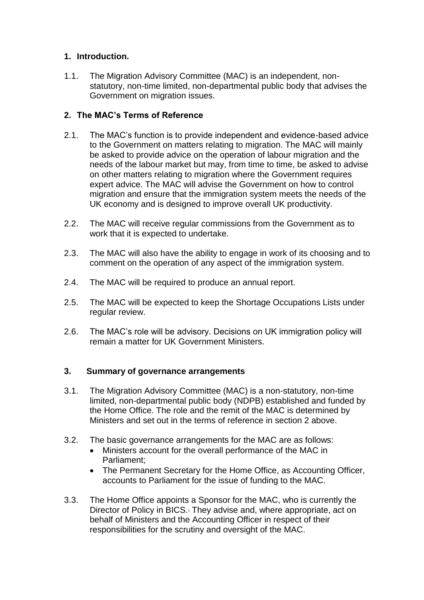# **1. Introduction.**

1.1. The Migration Advisory Committee (MAC) is an independent, nonstatutory, non-time limited, non-departmental public body that advises the Government on migration issues.

# **2. The MAC's Terms of Reference**

- 2.1. The MAC's function is to provide independent and evidence-based advice to the Government on matters relating to migration. The MAC will mainly be asked to provide advice on the operation of labour migration and the needs of the labour market but may, from time to time, be asked to advise on other matters relating to migration where the Government requires expert advice. The MAC will advise the Government on how to control migration and ensure that the immigration system meets the needs of the UK economy and is designed to improve overall UK productivity.
- 2.2. The MAC will receive regular commissions from the Government as to work that it is expected to undertake.
- 2.3. The MAC will also have the ability to engage in work of its choosing and to comment on the operation of any aspect of the immigration system.
- 2.4. The MAC will be required to produce an annual report.
- 2.5. The MAC will be expected to keep the Shortage Occupations Lists under regular review.
- 2.6. The MAC's role will be advisory. Decisions on UK immigration policy will remain a matter for UK Government Ministers.

## **3. Summary of governance arrangements**

- 3.1. The Migration Advisory Committee (MAC) is a non-statutory, non-time limited, non-departmental public body (NDPB) established and funded by the Home Office. The role and the remit of the MAC is determined by Ministers and set out in the terms of reference in section 2 above.
- 3.2. The basic governance arrangements for the MAC are as follows:
	- Ministers account for the overall performance of the MAC in Parliament;
	- The Permanent Secretary for the Home Office, as Accounting Officer, accounts to Parliament for the issue of funding to the MAC.
- 3.3. The Home Office appoints a Sponsor for the MAC, who is currently the Director of Policy in BICS[.](https://www.gov.uk/government/publications/home-office-and-migration-advisory-committee-framework-document-october-2018/migration-advisory-committee-framework-document#fn:1). They advise and, where appropriate, act on behalf of Ministers and the Accounting Officer in respect of their responsibilities for the scrutiny and oversight of the MAC.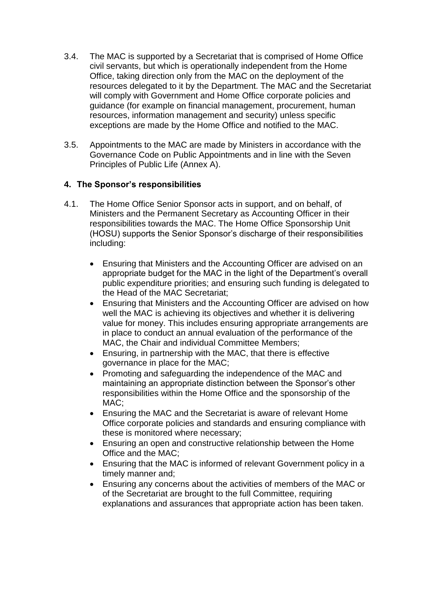- 3.4. The MAC is supported by a Secretariat that is comprised of Home Office civil servants, but which is operationally independent from the Home Office, taking direction only from the MAC on the deployment of the resources delegated to it by the Department. The MAC and the Secretariat will comply with Government and Home Office corporate policies and guidance (for example on financial management, procurement, human resources, information management and security) unless specific exceptions are made by the Home Office and notified to the MAC.
- 3.5. Appointments to the MAC are made by Ministers in accordance with the Governance Code on Public Appointments and in line with the Seven Principles of Public Life (Annex A).

## **4. The Sponsor's responsibilities**

- 4.1. The Home Office Senior Sponsor acts in support, and on behalf, of Ministers and the Permanent Secretary as Accounting Officer in their responsibilities towards the MAC. The Home Office Sponsorship Unit (HOSU) supports the Senior Sponsor's discharge of their responsibilities including:
	- Ensuring that Ministers and the Accounting Officer are advised on an appropriate budget for the MAC in the light of the Department's overall public expenditure priorities; and ensuring such funding is delegated to the Head of the MAC Secretariat;
	- Ensuring that Ministers and the Accounting Officer are advised on how well the MAC is achieving its objectives and whether it is delivering value for money. This includes ensuring appropriate arrangements are in place to conduct an annual evaluation of the performance of the MAC, the Chair and individual Committee Members;
	- Ensuring, in partnership with the MAC, that there is effective governance in place for the MAC;
	- Promoting and safeguarding the independence of the MAC and maintaining an appropriate distinction between the Sponsor's other responsibilities within the Home Office and the sponsorship of the MAC;
	- Ensuring the MAC and the Secretariat is aware of relevant Home Office corporate policies and standards and ensuring compliance with these is monitored where necessary;
	- Ensuring an open and constructive relationship between the Home Office and the MAC;
	- Ensuring that the MAC is informed of relevant Government policy in a timely manner and;
	- Ensuring any concerns about the activities of members of the MAC or of the Secretariat are brought to the full Committee, requiring explanations and assurances that appropriate action has been taken.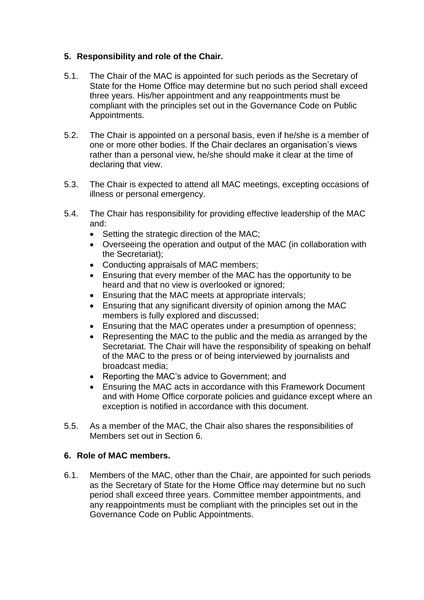# **5. Responsibility and role of the Chair.**

- 5.1. The Chair of the MAC is appointed for such periods as the Secretary of State for the Home Office may determine but no such period shall exceed three years. His/her appointment and any reappointments must be compliant with the principles set out in the Governance Code on Public Appointments.
- 5.2. The Chair is appointed on a personal basis, even if he/she is a member of one or more other bodies. If the Chair declares an organisation's views rather than a personal view, he/she should make it clear at the time of declaring that view.
- 5.3. The Chair is expected to attend all MAC meetings, excepting occasions of illness or personal emergency.
- 5.4. The Chair has responsibility for providing effective leadership of the MAC and:
	- Setting the strategic direction of the MAC;
	- Overseeing the operation and output of the MAC (in collaboration with the Secretariat);
	- Conducting appraisals of MAC members;
	- Ensuring that every member of the MAC has the opportunity to be heard and that no view is overlooked or ignored;
	- Ensuring that the MAC meets at appropriate intervals;
	- Ensuring that any significant diversity of opinion among the MAC members is fully explored and discussed;
	- Ensuring that the MAC operates under a presumption of openness;
	- Representing the MAC to the public and the media as arranged by the Secretariat. The Chair will have the responsibility of speaking on behalf of the MAC to the press or of being interviewed by journalists and broadcast media;
	- Reporting the MAC's advice to Government; and
	- Ensuring the MAC acts in accordance with this Framework Document and with Home Office corporate policies and guidance except where an exception is notified in accordance with this document.
- 5.5. As a member of the MAC, the Chair also shares the responsibilities of Members set out in Section 6.

# **6. Role of MAC members.**

6.1. Members of the MAC, other than the Chair, are appointed for such periods as the Secretary of State for the Home Office may determine but no such period shall exceed three years. Committee member appointments, and any reappointments must be compliant with the principles set out in the Governance Code on Public Appointments.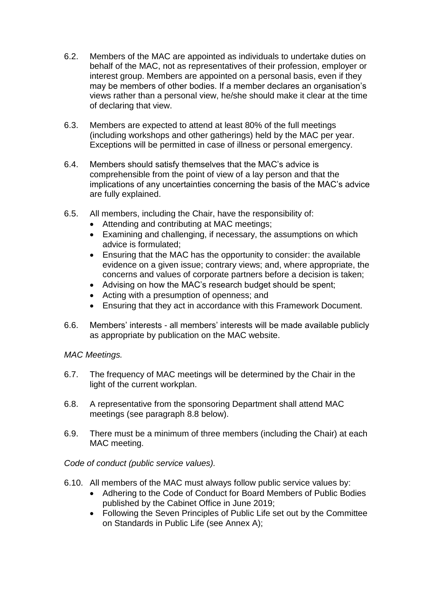- 6.2. Members of the MAC are appointed as individuals to undertake duties on behalf of the MAC, not as representatives of their profession, employer or interest group. Members are appointed on a personal basis, even if they may be members of other bodies. If a member declares an organisation's views rather than a personal view, he/she should make it clear at the time of declaring that view.
- 6.3. Members are expected to attend at least 80% of the full meetings (including workshops and other gatherings) held by the MAC per year. Exceptions will be permitted in case of illness or personal emergency.
- 6.4. Members should satisfy themselves that the MAC's advice is comprehensible from the point of view of a lay person and that the implications of any uncertainties concerning the basis of the MAC's advice are fully explained.
- 6.5. All members, including the Chair, have the responsibility of:
	- Attending and contributing at MAC meetings;
	- Examining and challenging, if necessary, the assumptions on which advice is formulated;
	- Ensuring that the MAC has the opportunity to consider: the available evidence on a given issue; contrary views; and, where appropriate, the concerns and values of corporate partners before a decision is taken;
	- Advising on how the MAC's research budget should be spent;
	- Acting with a presumption of openness; and
	- Ensuring that they act in accordance with this Framework Document.
- 6.6. Members' interests all members' interests will be made available publicly as appropriate by publication on the MAC website.

*MAC Meetings.*

- 6.7. The frequency of MAC meetings will be determined by the Chair in the light of the current workplan.
- 6.8. A representative from the sponsoring Department shall attend MAC meetings (see paragraph 8.8 below).
- 6.9. There must be a minimum of three members (including the Chair) at each MAC meeting.

*Code of conduct (public service values).*

- 6.10. All members of the MAC must always follow public service values by:
	- Adhering to the Code of Conduct for Board Members of Public Bodies published by the Cabinet Office in June 2019;
	- Following the Seven Principles of Public Life set out by the Committee on Standards in Public Life (see Annex A);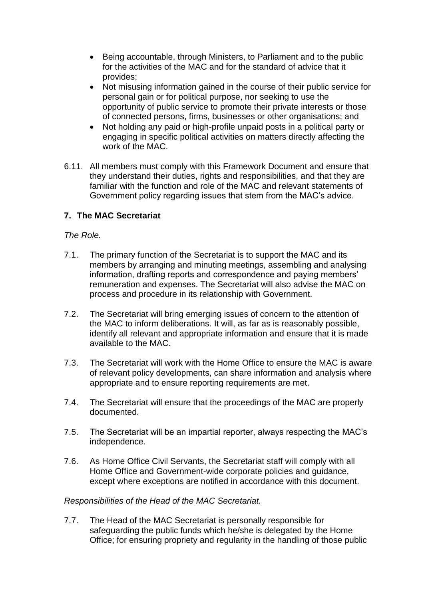- Being accountable, through Ministers, to Parliament and to the public for the activities of the MAC and for the standard of advice that it provides;
- Not misusing information gained in the course of their public service for personal gain or for political purpose, nor seeking to use the opportunity of public service to promote their private interests or those of connected persons, firms, businesses or other organisations; and
- Not holding any paid or high-profile unpaid posts in a political party or engaging in specific political activities on matters directly affecting the work of the MAC.
- 6.11. All members must comply with this Framework Document and ensure that they understand their duties, rights and responsibilities, and that they are familiar with the function and role of the MAC and relevant statements of Government policy regarding issues that stem from the MAC's advice.

# **7. The MAC Secretariat**

## *The Role.*

- 7.1. The primary function of the Secretariat is to support the MAC and its members by arranging and minuting meetings, assembling and analysing information, drafting reports and correspondence and paying members' remuneration and expenses. The Secretariat will also advise the MAC on process and procedure in its relationship with Government.
- 7.2. The Secretariat will bring emerging issues of concern to the attention of the MAC to inform deliberations. It will, as far as is reasonably possible, identify all relevant and appropriate information and ensure that it is made available to the MAC.
- 7.3. The Secretariat will work with the Home Office to ensure the MAC is aware of relevant policy developments, can share information and analysis where appropriate and to ensure reporting requirements are met.
- 7.4. The Secretariat will ensure that the proceedings of the MAC are properly documented.
- 7.5. The Secretariat will be an impartial reporter, always respecting the MAC's independence.
- 7.6. As Home Office Civil Servants, the Secretariat staff will comply with all Home Office and Government-wide corporate policies and guidance, except where exceptions are notified in accordance with this document.

## *Responsibilities of the Head of the MAC Secretariat.*

7.7. The Head of the MAC Secretariat is personally responsible for safeguarding the public funds which he/she is delegated by the Home Office; for ensuring propriety and regularity in the handling of those public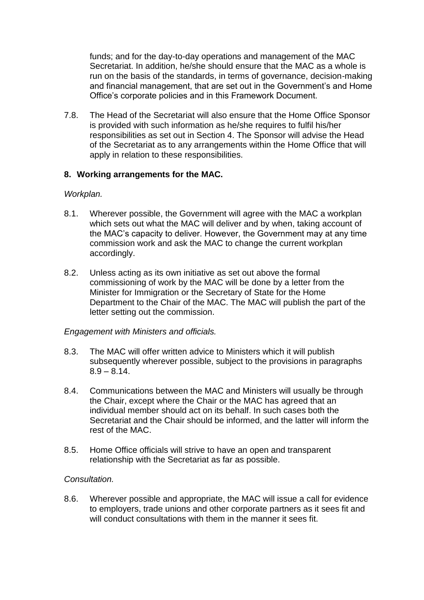funds; and for the day-to-day operations and management of the MAC Secretariat. In addition, he/she should ensure that the MAC as a whole is run on the basis of the standards, in terms of governance, decision-making and financial management, that are set out in the Government's and Home Office's corporate policies and in this Framework Document.

7.8. The Head of the Secretariat will also ensure that the Home Office Sponsor is provided with such information as he/she requires to fulfil his/her responsibilities as set out in Section 4. The Sponsor will advise the Head of the Secretariat as to any arrangements within the Home Office that will apply in relation to these responsibilities.

## **8. Working arrangements for the MAC.**

## *Workplan.*

- 8.1. Wherever possible, the Government will agree with the MAC a workplan which sets out what the MAC will deliver and by when, taking account of the MAC's capacity to deliver. However, the Government may at any time commission work and ask the MAC to change the current workplan accordingly.
- 8.2. Unless acting as its own initiative as set out above the formal commissioning of work by the MAC will be done by a letter from the Minister for Immigration or the Secretary of State for the Home Department to the Chair of the MAC. The MAC will publish the part of the letter setting out the commission.

## *Engagement with Ministers and officials.*

- 8.3. The MAC will offer written advice to Ministers which it will publish subsequently wherever possible, subject to the provisions in paragraphs  $8.9 - 8.14$ .
- 8.4. Communications between the MAC and Ministers will usually be through the Chair, except where the Chair or the MAC has agreed that an individual member should act on its behalf. In such cases both the Secretariat and the Chair should be informed, and the latter will inform the rest of the MAC.
- 8.5. Home Office officials will strive to have an open and transparent relationship with the Secretariat as far as possible.

## *Consultation.*

8.6. Wherever possible and appropriate, the MAC will issue a call for evidence to employers, trade unions and other corporate partners as it sees fit and will conduct consultations with them in the manner it sees fit.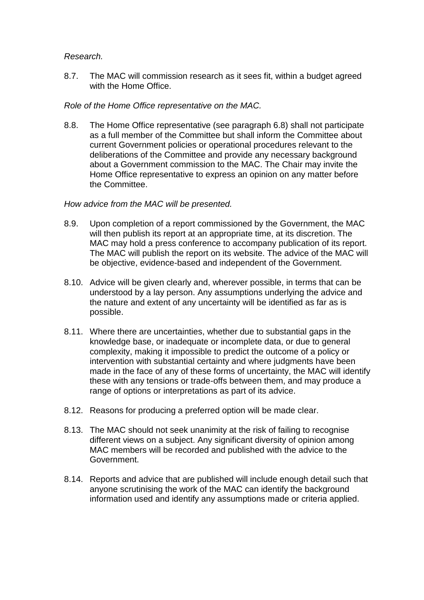## *Research.*

8.7. The MAC will commission research as it sees fit, within a budget agreed with the Home Office.

## *Role of the Home Office representative on the MAC.*

8.8. The Home Office representative (see paragraph 6.8) shall not participate as a full member of the Committee but shall inform the Committee about current Government policies or operational procedures relevant to the deliberations of the Committee and provide any necessary background about a Government commission to the MAC. The Chair may invite the Home Office representative to express an opinion on any matter before the Committee.

#### *How advice from the MAC will be presented.*

- 8.9. Upon completion of a report commissioned by the Government, the MAC will then publish its report at an appropriate time, at its discretion. The MAC may hold a press conference to accompany publication of its report. The MAC will publish the report on its website. The advice of the MAC will be objective, evidence-based and independent of the Government.
- 8.10. Advice will be given clearly and, wherever possible, in terms that can be understood by a lay person. Any assumptions underlying the advice and the nature and extent of any uncertainty will be identified as far as is possible.
- 8.11. Where there are uncertainties, whether due to substantial gaps in the knowledge base, or inadequate or incomplete data, or due to general complexity, making it impossible to predict the outcome of a policy or intervention with substantial certainty and where judgments have been made in the face of any of these forms of uncertainty, the MAC will identify these with any tensions or trade-offs between them, and may produce a range of options or interpretations as part of its advice.
- 8.12. Reasons for producing a preferred option will be made clear.
- 8.13. The MAC should not seek unanimity at the risk of failing to recognise different views on a subject. Any significant diversity of opinion among MAC members will be recorded and published with the advice to the Government.
- 8.14. Reports and advice that are published will include enough detail such that anyone scrutinising the work of the MAC can identify the background information used and identify any assumptions made or criteria applied.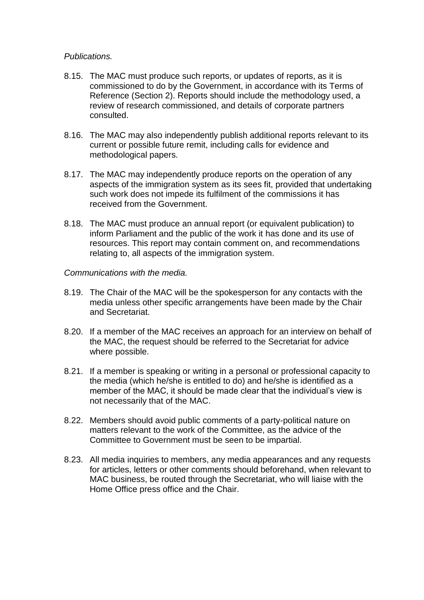## *Publications.*

- 8.15. The MAC must produce such reports, or updates of reports, as it is commissioned to do by the Government, in accordance with its Terms of Reference (Section 2). Reports should include the methodology used, a review of research commissioned, and details of corporate partners consulted.
- 8.16. The MAC may also independently publish additional reports relevant to its current or possible future remit, including calls for evidence and methodological papers.
- 8.17. The MAC may independently produce reports on the operation of any aspects of the immigration system as its sees fit, provided that undertaking such work does not impede its fulfilment of the commissions it has received from the Government.
- 8.18. The MAC must produce an annual report (or equivalent publication) to inform Parliament and the public of the work it has done and its use of resources. This report may contain comment on, and recommendations relating to, all aspects of the immigration system.

#### *Communications with the media.*

- 8.19. The Chair of the MAC will be the spokesperson for any contacts with the media unless other specific arrangements have been made by the Chair and Secretariat.
- 8.20. If a member of the MAC receives an approach for an interview on behalf of the MAC, the request should be referred to the Secretariat for advice where possible.
- 8.21. If a member is speaking or writing in a personal or professional capacity to the media (which he/she is entitled to do) and he/she is identified as a member of the MAC, it should be made clear that the individual's view is not necessarily that of the MAC.
- 8.22. Members should avoid public comments of a party-political nature on matters relevant to the work of the Committee, as the advice of the Committee to Government must be seen to be impartial.
- 8.23. All media inquiries to members, any media appearances and any requests for articles, letters or other comments should beforehand, when relevant to MAC business, be routed through the Secretariat, who will liaise with the Home Office press office and the Chair.